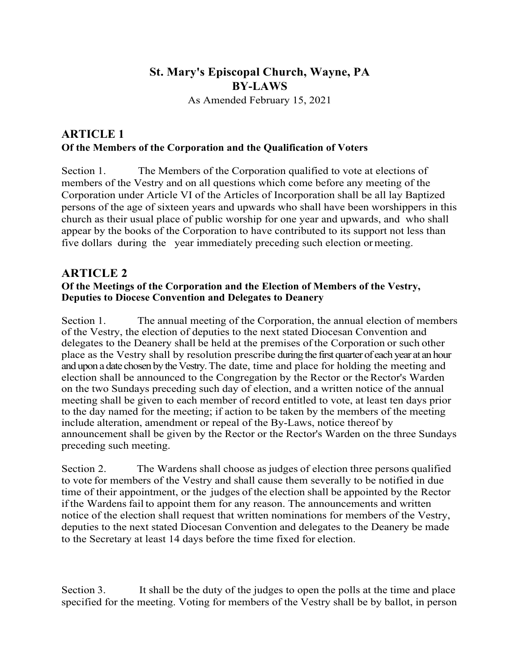# **St. Mary's Episcopal Church, Wayne, PA BY-LAWS**

As Amended February 15, 2021

### **ARTICLE 1 Of the Members of the Corporation and the Qualification of Voters**

Section 1. The Members of the Corporation qualified to vote at elections of members of the Vestry and on all questions which come before any meeting of the Corporation under Article VI of the Articles of Incorporation shall be all lay Baptized persons of the age of sixteen years and upwards who shall have been worshippers in this church as their usual place of public worship for one year and upwards, and who shall appear by the books of the Corporation to have contributed to its support not less than five dollars during the year immediately preceding such election ormeeting.

#### **ARTICLE 2 Of the Meetings of the Corporation and the Election of Members of the Vestry, Deputies to Diocese Convention and Delegates to Deanery**

Section 1. The annual meeting of the Corporation, the annual election of members of the Vestry, the election of deputies to the next stated Diocesan Convention and delegates to the Deanery shall be held at the premises of the Corporation or such other place as the Vestry shall by resolution prescribe during the first quarter of each year at an hour and upon a date chosen by the Vestry. The date, time and place for holding the meeting and election shall be announced to the Congregation by the Rector or the Rector's Warden on the two Sundays preceding such day of election, and a written notice of the annual meeting shall be given to each member of record entitled to vote, at least ten days prior to the day named for the meeting; if action to be taken by the members of the meeting include alteration, amendment or repeal of the By-Laws, notice thereof by announcement shall be given by the Rector or the Rector's Warden on the three Sundays preceding such meeting.

Section 2. The Wardens shall choose asjudges of election three persons qualified to vote for members of the Vestry and shall cause them severally to be notified in due time of their appointment, or the judges of the election shall be appointed by the Rector if the Wardens fail to appoint them for any reason. The announcements and written notice of the election shall request that written nominations for members of the Vestry, deputies to the next stated Diocesan Convention and delegates to the Deanery be made to the Secretary at least 14 days before the time fixed for election.

Section 3. It shall be the duty of the judges to open the polls at the time and place specified for the meeting. Voting for members of the Vestry shall be by ballot, in person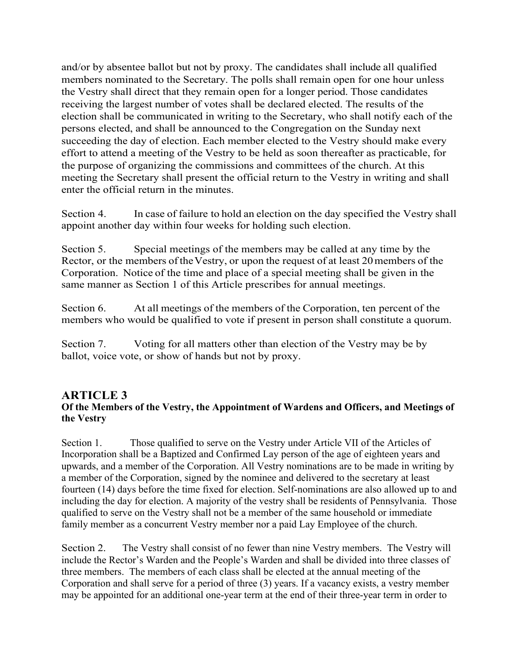and/or by absentee ballot but not by proxy. The candidates shall include all qualified members nominated to the Secretary. The polls shall remain open for one hour unless the Vestry shall direct that they remain open for a longer period. Those candidates receiving the largest number of votes shall be declared elected. The results of the election shall be communicated in writing to the Secretary, who shall notify each of the persons elected, and shall be announced to the Congregation on the Sunday next succeeding the day of election. Each member elected to the Vestry should make every effort to attend a meeting of the Vestry to be held as soon thereafter as practicable, for the purpose of organizing the commissions and committees of the church. At this meeting the Secretary shall present the official return to the Vestry in writing and shall enter the official return in the minutes.

Section 4. In case of failure to hold an election on the day specified the Vestry shall appoint another day within four weeks for holding such election.

Section 5. Special meetings of the members may be called at any time by the Rector, or the members of the Vestry, or upon the request of at least 20 members of the Corporation. Notice of the time and place of a special meeting shall be given in the same manner as Section 1 of this Article prescribes for annual meetings.

Section 6. At all meetings of the members of the Corporation, ten percent of the members who would be qualified to vote if present in person shall constitute a quorum.

Section 7. Voting for all matters other than election of the Vestry may be by ballot, voice vote, or show of hands but not by proxy.

#### **ARTICLE 3 Of the Members of the Vestry, the Appointment of Wardens and Officers, and Meetings of the Vestry**

Section 1. Those qualified to serve on the Vestry under Article VII of the Articles of Incorporation shall be a Baptized and Confirmed Lay person of the age of eighteen years and upwards, and a member of the Corporation. All Vestry nominations are to be made in writing by a member of the Corporation, signed by the nominee and delivered to the secretary at least fourteen (14) days before the time fixed for election. Self-nominations are also allowed up to and including the day for election. A majority of the vestry shall be residents of Pennsylvania. Those qualified to serve on the Vestry shall not be a member of the same household or immediate family member as a concurrent Vestry member nor a paid Lay Employee of the church.

Section 2. The Vestry shall consist of no fewer than nine Vestry members. The Vestry will include the Rector's Warden and the People's Warden and shall be divided into three classes of three members. The members of each class shall be elected at the annual meeting of the Corporation and shall serve for a period of three (3) years. If a vacancy exists, a vestry member may be appointed for an additional one-year term at the end of their three-year term in order to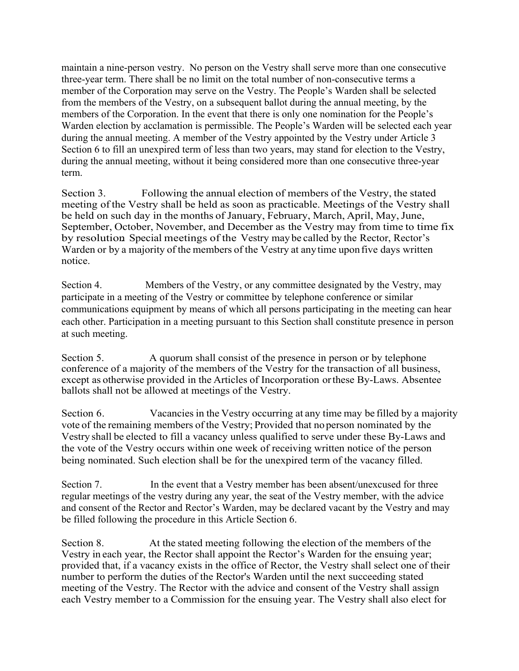maintain a nine-person vestry. No person on the Vestry shall serve more than one consecutive three-year term. There shall be no limit on the total number of non-consecutive terms a member of the Corporation may serve on the Vestry. The People's Warden shall be selected from the members of the Vestry, on a subsequent ballot during the annual meeting, by the members of the Corporation. In the event that there is only one nomination for the People's Warden election by acclamation is permissible. The People's Warden will be selected each year during the annual meeting. A member of the Vestry appointed by the Vestry under Article 3 Section 6 to fill an unexpired term of less than two years, may stand for election to the Vestry, during the annual meeting, without it being considered more than one consecutive three-year term.

Section 3. Following the annual election of members of the Vestry, the stated meeting of the Vestry shall be held as soon as practicable. Meetings of the Vestry shall be held on such day in the months of January, February, March, April, May, June, September, October, November, and December as the Vestry may from time to time fix by resolution. Special meetings of the Vestry may be called by the Rector, Rector's Warden or by a majority of the members of the Vestry at anytime uponfive days written notice.

Section 4. Members of the Vestry, or any committee designated by the Vestry, may participate in a meeting of the Vestry or committee by telephone conference or similar communications equipment by means of which all persons participating in the meeting can hear each other. Participation in a meeting pursuant to this Section shall constitute presence in person at such meeting.

Section 5. A quorum shall consist of the presence in person or by telephone conference of a majority of the members of the Vestry for the transaction of all business, except as otherwise provided in the Articles of Incorporation orthese By-Laws. Absentee ballots shall not be allowed at meetings of the Vestry.

Section 6. Vacancies in the Vestry occurring at any time may be filled by a majority vote of the remaining members of the Vestry; Provided that noperson nominated by the Vestry shall be elected to fill a vacancy unless qualified to serve under these By-Laws and the vote of the Vestry occurs within one week of receiving written notice of the person being nominated. Such election shall be for the unexpired term of the vacancy filled.

Section 7. In the event that a Vestry member has been absent/unexcused for three regular meetings of the vestry during any year, the seat of the Vestry member, with the advice and consent of the Rector and Rector's Warden, may be declared vacant by the Vestry and may be filled following the procedure in this Article Section 6.

Section 8. At the stated meeting following the election of the members of the Vestry in each year, the Rector shall appoint the Rector's Warden for the ensuing year; provided that, if a vacancy exists in the office of Rector, the Vestry shall select one of their number to perform the duties of the Rector's Warden until the next succeeding stated meeting of the Vestry. The Rector with the advice and consent of the Vestry shall assign each Vestry member to a Commission for the ensuing year. The Vestry shall also elect for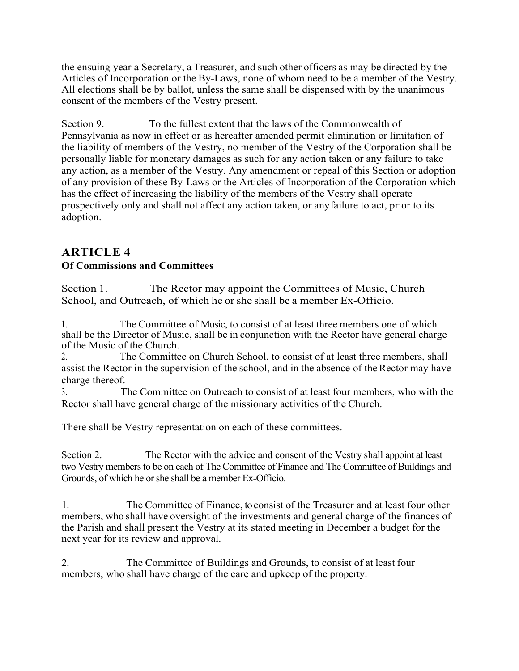the ensuing year a Secretary, a Treasurer, and such other officers as may be directed by the Articles of Incorporation or the By-Laws, none of whom need to be a member of the Vestry. All elections shall be by ballot, unless the same shall be dispensed with by the unanimous consent of the members of the Vestry present.

Section 9. To the fullest extent that the laws of the Commonwealth of Pennsylvania as now in effect or as hereafter amended permit elimination or limitation of the liability of members of the Vestry, no member of the Vestry of the Corporation shall be personally liable for monetary damages as such for any action taken or any failure to take any action, as a member of the Vestry. Any amendment or repeal of this Section or adoption of any provision of these By-Laws or the Articles of Incorporation of the Corporation which has the effect of increasing the liability of the members of the Vestry shall operate prospectively only and shall not affect any action taken, or anyfailure to act, prior to its adoption.

## **ARTICLE 4**

#### **Of Commissions and Committees**

Section 1. The Rector may appoint the Committees of Music, Church School, and Outreach, of which he or she shall be a member Ex-Officio.

1. The Committee of Music, to consist of at least three members one of which shall be the Director of Music, shall be in conjunction with the Rector have general charge of the Music of the Church.

2. The Committee on Church School, to consist of at least three members, shall assist the Rector in the supervision of the school, and in the absence of the Rector may have charge thereof.

3. The Committee on Outreach to consist of at least four members, who with the Rector shall have general charge of the missionary activities of the Church.

There shall be Vestry representation on each of these committees.

Section 2. The Rector with the advice and consent of the Vestry shall appoint at least two Vestry members to be on each of The Committee of Finance and The Committee of Buildings and Grounds, of which he or she shall be a member Ex-Officio.

1. The Committee of Finance, to consist of the Treasurer and at least four other members, who shall have oversight of the investments and general charge of the finances of the Parish and shall present the Vestry at its stated meeting in December a budget for the next year for its review and approval.

2. The Committee of Buildings and Grounds, to consist of at least four members, who shall have charge of the care and upkeep of the property.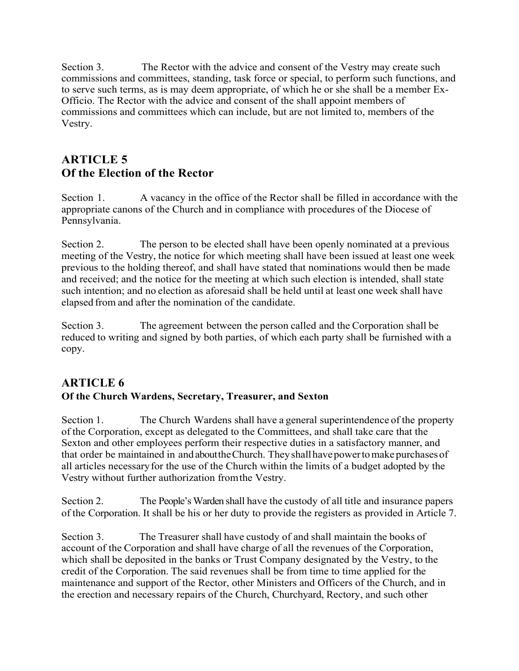Section 3. The Rector with the advice and consent of the Vestry may create such commissions and committees, standing, task force or special, to perform such functions, and to serve such terms, as is may deem appropriate, of which he or she shall be a member Ex-Officio. The Rector with the advice and consent of the shall appoint members of commissions and committees which can include, but are not limited to, members of the Vestry.

# **ARTICLE 5 Of the Election of the Rector**

Section 1. A vacancy in the office of the Rector shall be filled in accordance with the appropriate canons of the Church and in compliance with procedures of the Diocese of Pennsylvania.

Section 2. The person to be elected shall have been openly nominated at a previous meeting of the Vestry, the notice for which meeting shall have been issued at least one week previous to the holding thereof, and shall have stated that nominations would then be made and received; and the notice for the meeting at which such election is intended, shall state such intention; and no election as aforesaid shall be held until at least one week shall have elapsed from and after the nomination of the candidate.

Section 3. The agreement between the person called and the Corporation shall be reduced to writing and signed by both parties, of which each party shall be furnished with a copy.

## **ARTICLE 6 Of the Church Wardens, Secretary, Treasurer, and Sexton**

Section 1. The Church Wardens shall have a general superintendence of the property of the Corporation, except as delegated to the Committees, and shall take care that the Sexton and other employees perform their respective duties in a satisfactory manner, and that order be maintained in and about the Church. They shall have power to make purchases of all articles necessaryfor the use of the Church within the limits of a budget adopted by the Vestry without further authorization fromthe Vestry.

Section 2. The People's Warden shall have the custody of all title and insurance papers of the Corporation. It shall be his or her duty to provide the registers as provided in Article 7.

Section 3. The Treasurer shall have custody of and shall maintain the books of account of the Corporation and shall have charge of all the revenues of the Corporation, which shall be deposited in the banks or Trust Company designated by the Vestry, to the credit of the Corporation. The said revenues shall be from time to time applied for the maintenance and support of the Rector, other Ministers and Officers of the Church, and in the erection and necessary repairs of the Church, Churchyard, Rectory, and such other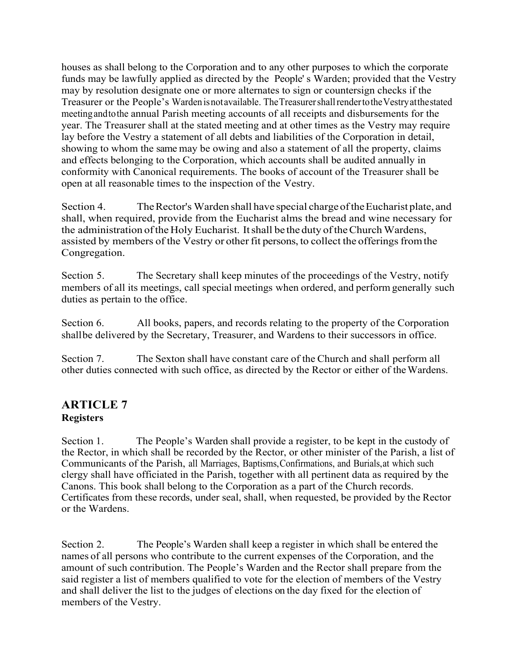houses as shall belong to the Corporation and to any other purposes to which the corporate funds may be lawfully applied as directed by the People' s Warden; provided that the Vestry may by resolution designate one or more alternates to sign or countersign checks if the Treasurer or the People's Wardenisnotavailable. TheTreasurershallrendertotheVestryatthestated meetingandtothe annual Parish meeting accounts of all receipts and disbursements for the year. The Treasurer shall at the stated meeting and at other times as the Vestry may require lay before the Vestry a statement of all debts and liabilities of the Corporation in detail, showing to whom the same may be owing and also a statement of all the property, claims and effects belonging to the Corporation, which accounts shall be audited annually in conformity with Canonical requirements. The books of account of the Treasurer shall be open at all reasonable times to the inspection of the Vestry.

Section 4. TheRector's Warden shall have special chargeoftheEucharist plate, and shall, when required, provide from the Eucharist alms the bread and wine necessary for the administration of the Holy Eucharist. It shall be the duty of the Church Wardens, assisted by members of the Vestry or other fit persons, to collect the offerings from the Congregation.

Section 5. The Secretary shall keep minutes of the proceedings of the Vestry, notify members of all its meetings, call special meetings when ordered, and perform generally such duties as pertain to the office.

Section 6. All books, papers, and records relating to the property of the Corporation shallbe delivered by the Secretary, Treasurer, and Wardens to their successors in office.

Section 7. The Sexton shall have constant care of the Church and shall perform all other duties connected with such office, as directed by the Rector or either of theWardens.

### **ARTICLE 7 Registers**

Section 1. The People's Warden shall provide a register, to be kept in the custody of the Rector, in which shall be recorded by the Rector, or other minister of the Parish, a list of Communicants of the Parish, all Marriages, Baptisms,Confirmations, and Burials,at which such clergy shall have officiated in the Parish, together with all pertinent data as required by the Canons. This book shall belong to the Corporation as a part of the Church records. Certificates from these records, under seal, shall, when requested, be provided by the Rector or the Wardens.

Section 2. The People's Warden shall keep a register in which shall be entered the names of all persons who contribute to the current expenses of the Corporation, and the amount of such contribution. The People's Warden and the Rector shall prepare from the said register a list of members qualified to vote for the election of members of the Vestry and shall deliver the list to the judges of elections on the day fixed for the election of members of the Vestry.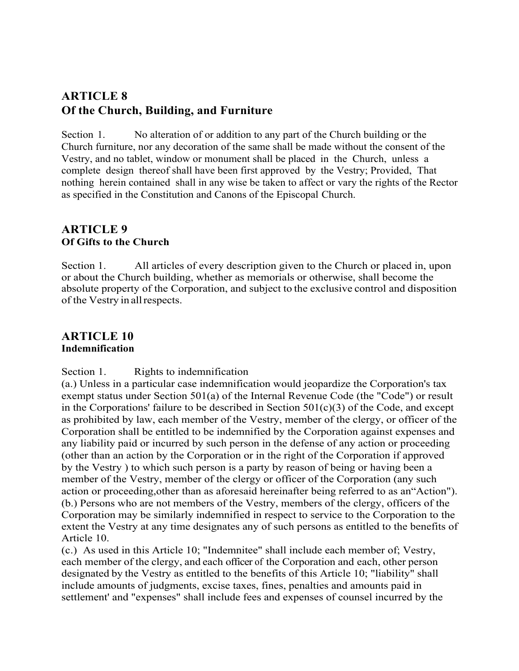## **ARTICLE 8 Of the Church, Building, and Furniture**

Section 1. No alteration of or addition to any part of the Church building or the Church furniture, nor any decoration of the same shall be made without the consent of the Vestry, and no tablet, window or monument shall be placed in the Church, unless a complete design thereof shall have been first approved by the Vestry; Provided, That nothing herein contained shall in any wise be taken to affect or vary the rights of the Rector as specified in the Constitution and Canons of the Episcopal Church.

#### **ARTICLE 9 Of Gifts to the Church**

Section 1. All articles of every description given to the Church or placed in, upon or about the Church building, whether as memorials or otherwise, shall become the absolute property of the Corporation, and subject to the exclusive control and disposition of the Vestry in allrespects.

#### **ARTICLE 10 Indemnification**

Section 1. Rights to indemnification

(a.) Unless in a particular case indemnification would jeopardize the Corporation's tax exempt status under Section 501(a) of the Internal Revenue Code (the "Code") or result in the Corporations' failure to be described in Section  $501(c)(3)$  of the Code, and except as prohibited by law, each member of the Vestry, member of the clergy, or officer of the Corporation shall be entitled to be indemnified by the Corporation against expenses and any liability paid or incurred by such person in the defense of any action or proceeding (other than an action by the Corporation or in the right of the Corporation if approved by the Vestry ) to which such person is a party by reason of being or having been a member of the Vestry, member of the clergy or officer of the Corporation (any such action or proceeding,other than as aforesaid hereinafter being referred to as an"Action"). (b.) Persons who are not members of the Vestry, members of the clergy, officers of the Corporation may be similarly indemnified in respect to service to the Corporation to the extent the Vestry at any time designates any of such persons as entitled to the benefits of Article 10.

(c.) As used in this Article 10; "Indemnitee" shall include each member of; Vestry, each member of the clergy, and each officer of the Corporation and each, other person designated by the Vestry as entitled to the benefits of this Article 10; "liability" shall include amounts of judgments, excise taxes, fines, penalties and amounts paid in settlement' and "expenses" shall include fees and expenses of counsel incurred by the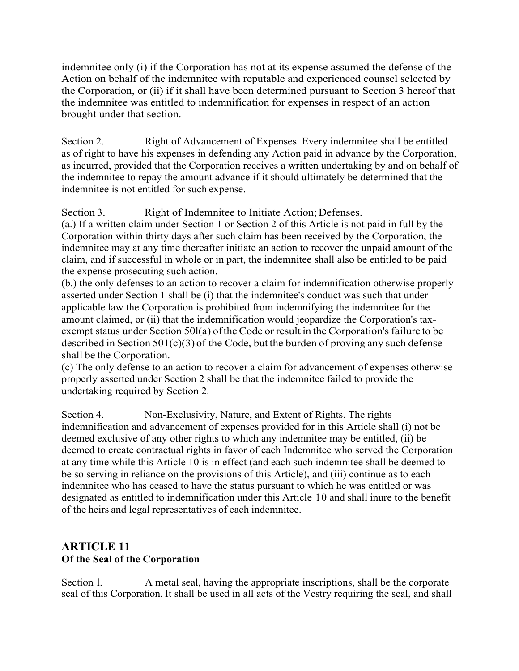indemnitee only (i) if the Corporation has not at its expense assumed the defense of the Action on behalf of the indemnitee with reputable and experienced counsel selected by the Corporation, or (ii) if it shall have been determined pursuant to Section 3 hereof that the indemnitee was entitled to indemnification for expenses in respect of an action brought under that section.

Section 2. Right of Advancement of Expenses. Every indemnitee shall be entitled as of right to have his expenses in defending any Action paid in advance by the Corporation, as incurred, provided that the Corporation receives a written undertaking by and on behalf of the indemnitee to repay the amount advance if it should ultimately be determined that the indemnitee is not entitled for such expense.

Section 3. Right of Indemnitee to Initiate Action; Defenses.

(a.) If a written claim under Section 1 or Section 2 of this Article is not paid in full by the Corporation within thirty days after such claim has been received by the Corporation, the indemnitee may at any time thereafter initiate an action to recover the unpaid amount of the claim, and if successful in whole or in part, the indemnitee shall also be entitled to be paid the expense prosecuting such action.

(b.) the only defenses to an action to recover a claim for indemnification otherwise properly asserted under Section 1 shall be (i) that the indemnitee's conduct was such that under applicable law the Corporation is prohibited from indemnifying the indemnitee for the amount claimed, or (ii) that the indemnification would jeopardize the Corporation's taxexempt status under Section 50l(a) of the Code or result in the Corporation's failure to be described in Section 501(c)(3) of the Code, but the burden of proving any such defense shall be the Corporation.

(c) The only defense to an action to recover a claim for advancement of expenses otherwise properly asserted under Section 2 shall be that the indemnitee failed to provide the undertaking required by Section 2.

Section 4. Non-Exclusivity, Nature, and Extent of Rights. The rights indemnification and advancement of expenses provided for in this Article shall (i) not be deemed exclusive of any other rights to which any indemnitee may be entitled, (ii) be deemed to create contractual rights in favor of each Indemnitee who served the Corporation at any time while this Article 10 is in effect (and each such indemnitee shall be deemed to be so serving in reliance on the provisions of this Article), and (iii) continue as to each indemnitee who has ceased to have the status pursuant to which he was entitled or was designated as entitled to indemnification under this Article 10 and shall inure to the benefit of the heirs and legal representatives of each indemnitee.

### **ARTICLE 11 Of the Seal of the Corporation**

Section 1. A metal seal, having the appropriate inscriptions, shall be the corporate seal of this Corporation. It shall be used in all acts of the Vestry requiring the seal, and shall